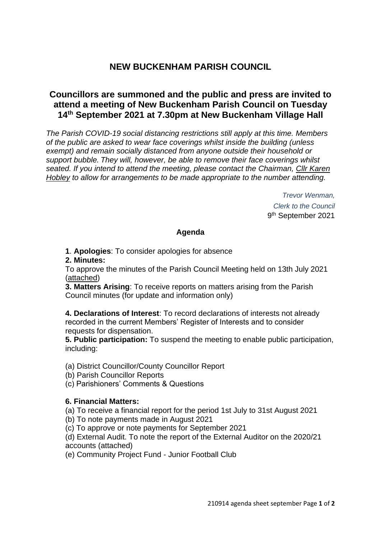# **NEW BUCKENHAM PARISH COUNCIL**

# **Councillors are summoned and the public and press are invited to attend a meeting of New Buckenham Parish Council on Tuesday 14th September 2021 at 7.30pm at New Buckenham Village Hall**

*The Parish COVID-19 social distancing restrictions still apply at this time. Members of the public are asked to wear face coverings whilst inside the building (unless exempt) and remain socially distanced from anyone outside their household or support bubble. They will, however, be able to remove their face coverings whilst seated. If you intend to attend the meeting, please contact the Chairman, Cllr Karen Hobley to allow for arrangements to be made appropriate to the number attending.*

> *Trevor Wenman, Clerk to the Council* 9 th September 2021

## **Agenda**

**1**. **Apologies**: To consider apologies for absence

**2. Minutes:**

To approve the minutes of the Parish Council Meeting held on 13th July 2021 (attached)

**3. Matters Arising**: To receive reports on matters arising from the Parish Council minutes (for update and information only)

**4. Declarations of Interest**: To record declarations of interests not already recorded in the current Members' Register of Interests and to consider requests for dispensation.

**5. Public participation:** To suspend the meeting to enable public participation, including:

(a) District Councillor/County Councillor Report

- (b) Parish Councillor Reports
- (c) Parishioners' Comments & Questions

## **6. Financial Matters:**

- (a) To receive a financial report for the period 1st July to 31st August 2021
- (b) To note payments made in August 2021
- (c) To approve or note payments for September 2021

(d) External Audit. To note the report of the External Auditor on the 2020/21 accounts (attached)

(e) Community Project Fund - Junior Football Club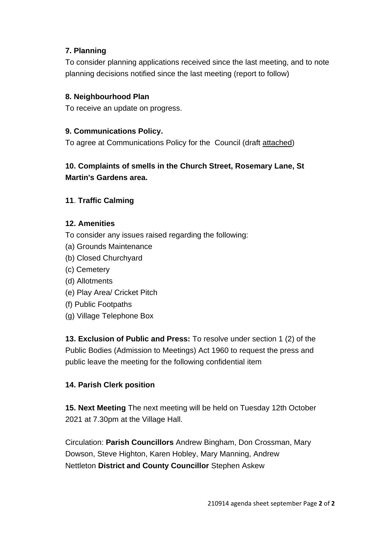# **7. Planning**

To consider planning applications received since the last meeting, and to note planning decisions notified since the last meeting (report to follow)

## **8. Neighbourhood Plan**

To receive an update on progress.

## **9. Communications Policy.**

To agree at Communications Policy for the Council (draft attached)

# **10. Complaints of smells in the Church Street, Rosemary Lane, St Martin's Gardens area.**

## **11**. **Traffic Calming**

## **12. Amenities**

- To consider any issues raised regarding the following:
- (a) Grounds Maintenance
- (b) Closed Churchyard
- (c) Cemetery
- (d) Allotments
- (e) Play Area/ Cricket Pitch
- (f) Public Footpaths
- (g) Village Telephone Box

**13. Exclusion of Public and Press:** To resolve under section 1 (2) of the Public Bodies (Admission to Meetings) Act 1960 to request the press and public leave the meeting for the following confidential item

## **14. Parish Clerk position**

**15. Next Meeting** The next meeting will be held on Tuesday 12th October 2021 at 7.30pm at the Village Hall.

Circulation: **Parish Councillors** Andrew Bingham, Don Crossman, Mary Dowson, Steve Highton, Karen Hobley, Mary Manning, Andrew Nettleton **District and County Councillor** Stephen Askew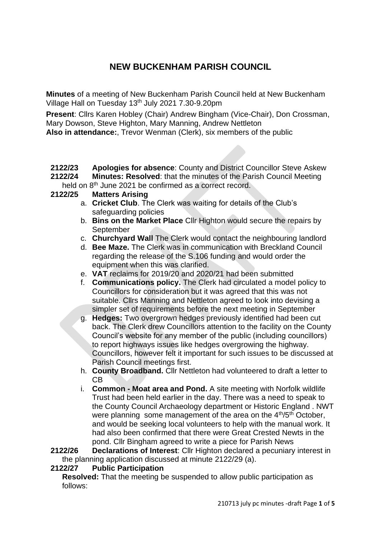# **NEW BUCKENHAM PARISH COUNCIL**

**Minutes** of a meeting of New Buckenham Parish Council held at New Buckenham Village Hall on Tuesday 13th July 2021 7.30-9.20pm

**Present**: Cllrs Karen Hobley (Chair) Andrew Bingham (Vice-Chair), Don Crossman, Mary Dowson, Steve Highton, Mary Manning, Andrew Nettleton

**Also in attendance:**, Trevor Wenman (Clerk), six members of the public

**2122/23 Apologies for absence**: County and District Councillor Steve Askew **2122/24 Minutes: Resolved**: that the minutes of the Parish Council Meeting

- held on 8<sup>th</sup> June 2021 be confirmed as a correct record.
- **2122/25 Matters Arising**
	- a. **Cricket Club**. The Clerk was waiting for details of the Club's safeguarding policies
	- b. **Bins on the Market Place** Cllr Highton would secure the repairs by September
	- c. **Churchyard Wall** The Clerk would contact the neighbouring landlord
	- d. **Bee Maze.** The Clerk was in communication with Breckland Council regarding the release of the S.106 funding and would order the equipment when this was clarified.
	- e. **VAT** reclaims for 2019/20 and 2020/21 had been submitted
	- f. **Communications policy.** The Clerk had circulated a model policy to Councillors for consideration but it was agreed that this was not suitable. Cllrs Manning and Nettleton agreed to look into devising a simpler set of requirements before the next meeting in September
	- g. **Hedges:** Two overgrown hedges previously identified had been cut back. The Clerk drew Councillors attention to the facility on the County Council's website for any member of the public (including councillors) to report highways issues like hedges overgrowing the highway. Councillors, however felt it important for such issues to be discussed at Parish Council meetings first.
	- h. **County Broadband.** Cllr Nettleton had volunteered to draft a letter to CB
	- i. **Common - Moat area and Pond.** A site meeting with Norfolk wildlife Trust had been held earlier in the day. There was a need to speak to the County Council Archaeology department or Historic England . NWT were planning some management of the area on the 4<sup>th</sup>/5<sup>th</sup> October, and would be seeking local volunteers to help with the manual work. It had also been confirmed that there were Great Crested Newts in the pond. Cllr Bingham agreed to write a piece for Parish News

**2122/26 Declarations of Interest**: Cllr Highton declared a pecuniary interest in the planning application discussed at minute 2122/29 (a).

## **2122/27 Public Participation**

**Resolved:** That the meeting be suspended to allow public participation as follows: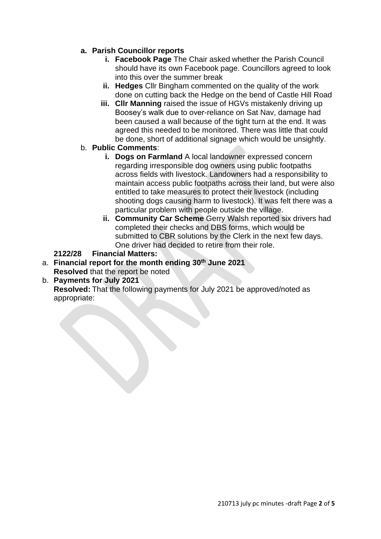# **a. Parish Councillor reports**

- **i. Facebook Page** The Chair asked whether the Parish Council should have its own Facebook page. Councillors agreed to look into this over the summer break
- **ii. Hedges** Cllr Bingham commented on the quality of the work done on cutting back the Hedge on the bend of Castle Hill Road
- **iii. Cllr Manning** raised the issue of HGVs mistakenly driving up Boosey's walk due to over-reliance on Sat Nav, damage had been caused a wall because of the tight turn at the end. It was agreed this needed to be monitored. There was little that could be done, short of additional signage which would be unsightly.
- b. **Public Comments**:
	- **i. Dogs on Farmland** A local landowner expressed concern regarding irresponsible dog owners using public footpaths across fields with livestock. Landowners had a responsibility to maintain access public footpaths across their land, but were also entitled to take measures to protect their livestock (including shooting dogs causing harm to livestock). It was felt there was a particular problem with people outside the village.
	- **ii. Community Car Scheme** Gerry Walsh reported six drivers had completed their checks and DBS forms, which would be submitted to CBR solutions by the Clerk in the next few days. One driver had decided to retire from their role.

## **2122/28 Financial Matters:**

- a. **Financial report for the month ending 30th June 2021 Resolved** that the report be noted
- b. **Payments for July 2021**

**Resolved:** That the following payments for July 2021 be approved/noted as appropriate: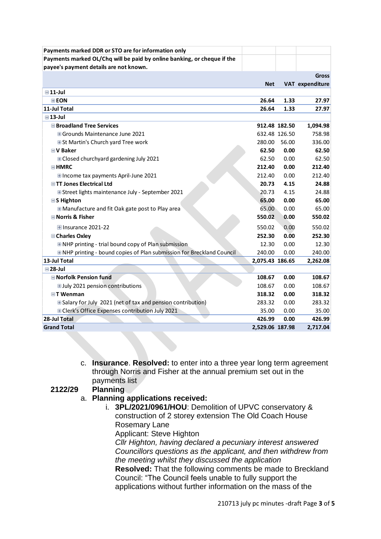| Payments marked DDR or STO are for information only                          |                 |               |                 |
|------------------------------------------------------------------------------|-----------------|---------------|-----------------|
| Payments marked OL/Chq will be paid by online banking, or cheque if the      |                 |               |                 |
| payee's payment details are not known.                                       |                 |               |                 |
|                                                                              |                 |               | <b>Gross</b>    |
|                                                                              | <b>Net</b>      |               | VAT expenditure |
| $\blacksquare$ 11-Jul                                                        |                 |               |                 |
| <b>EEON</b>                                                                  | 26.64           | 1.33          | 27.97           |
| 11-Jul Total                                                                 | 26.64           | 1.33          | 27.97           |
| $\boxminus$ 13-Jul                                                           |                 |               |                 |
| <b>■Broadland Tree Services</b>                                              |                 | 912.48 182.50 | 1,094.98        |
| <b>⊞ Grounds Maintenance June 2021</b>                                       |                 | 632.48 126.50 | 758.98          |
| <b>ESt Martin's Church yard Tree work</b>                                    | 280.00          | 56.00         | 336.00          |
| <b>■V Baker</b>                                                              | 62.50           | 0.00          | 62.50           |
| E Closed churchyard gardening July 2021                                      | 62.50           | 0.00          | 62.50           |
| ⊟HMRC                                                                        | 212.40          | 0.00          | 212.40          |
| <b>Elncome tax payments April-June 2021</b>                                  | 212.40          | 0.00          | 212.40          |
| <b>■TT Jones Electrical Ltd</b>                                              | 20.73           | 4.15          | 24.88           |
| E Street lights maintenance July - September 2021                            | 20.73           | 4.15          | 24.88           |
| <b>■S Highton</b>                                                            | 65.00           | 0.00          | 65.00           |
| <b>EManufacture and fit Oak gate post to Play area</b>                       | 65.00           | 0.00          | 65.00           |
| Norris & Fisher                                                              | 550.02          | 0.00          | 550.02          |
| <b>⊞Insurance 2021-22</b>                                                    | 550.02          | 0.00          | 550.02          |
| <b>■ Charles Oxley</b>                                                       | 252.30          | 0.00          | 252.30          |
| <b>ENHP printing - trial bound copy of Plan submission</b>                   | 12.30           | 0.00          | 12.30           |
| <b>ENHP printing - bound copies of Plan submission for Breckland Council</b> | 240.00          | 0.00          | 240.00          |
| 13-Jul Total                                                                 | 2,075.43 186.65 |               | 2,262.08        |
| $\Box$ 28-Jul                                                                |                 |               |                 |
| <b>■ Norfolk Pension fund</b>                                                | 108.67          | 0.00          | 108.67          |
| <b>⊞July 2021 pension contributions</b>                                      | 108.67          | 0.00          | 108.67          |
| ⊟T Wenman                                                                    | 318.32          | 0.00          | 318.32          |
| ESalary for July 2021 (net of tax and pension contribution)                  | 283.32          | 0.00          | 283.32          |
| E Clerk's Office Expenses contribution July 2021                             | 35.00           | 0.00          | 35.00           |
| 28-Jul Total                                                                 | 426.99          | 0.00          | 426.99          |
| <b>Grand Total</b>                                                           | 2,529.06 187.98 |               | 2,717.04        |

c. **Insurance**. **Resolved:** to enter into a three year long term agreement through Norris and Fisher at the annual premium set out in the payments list

## **2122/29 Planning**

- a. **Planning applications received:**
	- i. **3PL/2021/0961/HOU**: Demolition of UPVC conservatory & construction of 2 storey extension The Old Coach House Rosemary Lane

Applicant: Steve Highton

*Cllr Highton, having declared a pecuniary interest answered Councillors questions as the applicant, and then withdrew from the meeting whilst they discussed the application*

**Resolved:** That the following comments be made to Breckland Council: "The Council feels unable to fully support the applications without further information on the mass of the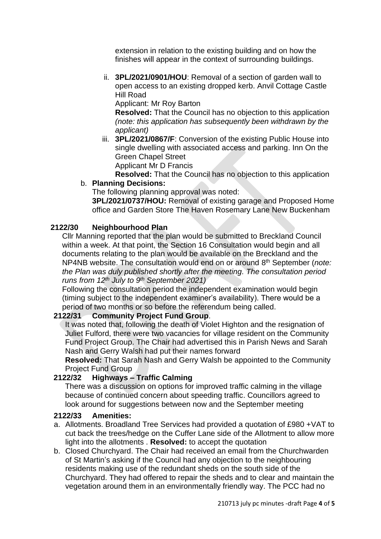extension in relation to the existing building and on how the finishes will appear in the context of surrounding buildings.

ii. **3PL/2021/0901/HOU**: Removal of a section of garden wall to open access to an existing dropped kerb. Anvil Cottage Castle Hill Road

Applicant: Mr Roy Barton

**Resolved:** That the Council has no objection to this application *(note: this application has subsequently been withdrawn by the applicant)*

iii. **3PL/2021/0867/F**: Conversion of the existing Public House into single dwelling with associated access and parking. Inn On the Green Chapel Street Applicant Mr D Francis

**Resolved:** That the Council has no objection to this application

# b. **Planning Decisions:**

The following planning approval was noted:

**3PL/2021/0737/HOU:** Removal of existing garage and Proposed Home office and Garden Store The Haven Rosemary Lane New Buckenham

# **2122/30 Neighbourhood Plan**

Cllr Manning reported that the plan would be submitted to Breckland Council within a week. At that point, the Section 16 Consultation would begin and all documents relating to the plan would be available on the Breckland and the NP4NB website. The consultation would end on or around 8 th September (*note: the Plan was duly published shortly after the meeting. The consultation period runs from 12th July to 9th September 2021)*

Following the consultation period the independent examination would begin (timing subject to the independent examiner's availability). There would be a period of two months or so before the referendum being called.

## **2122/31 Community Project Fund Group**.

It was noted that, following the death of Violet Highton and the resignation of Juliet Fulford, there were two vacancies for village resident on the Community Fund Project Group. The Chair had advertised this in Parish News and Sarah Nash and Gerry Walsh had put their names forward

**Resolved:** That Sarah Nash and Gerry Walsh be appointed to the Community Project Fund Group

# **2122/32 Highways – Traffic Calming**

There was a discussion on options for improved traffic calming in the village because of continued concern about speeding traffic. Councillors agreed to look around for suggestions between now and the September meeting

## **2122/33 Amenities:**

- a. Allotments. Broadland Tree Services had provided a quotation of £980 +VAT to cut back the trees/hedge on the Cuffer Lane side of the Allotment to allow more light into the allotments . **Resolved:** to accept the quotation
- b. Closed Churchyard. The Chair had received an email from the Churchwarden of St Martin's asking if the Council had any objection to the neighbouring residents making use of the redundant sheds on the south side of the Churchyard. They had offered to repair the sheds and to clear and maintain the vegetation around them in an environmentally friendly way. The PCC had no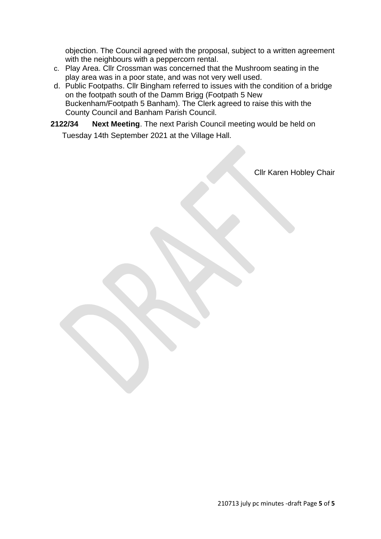objection. The Council agreed with the proposal, subject to a written agreement with the neighbours with a peppercorn rental.

- c. Play Area. Cllr Crossman was concerned that the Mushroom seating in the play area was in a poor state, and was not very well used.
- d. Public Footpaths. Cllr Bingham referred to issues with the condition of a bridge on the footpath south of the Damm Brigg (Footpath 5 New Buckenham/Footpath 5 Banham). The Clerk agreed to raise this with the County Council and Banham Parish Council.
- **2122/34 Next Meeting**. The next Parish Council meeting would be held on Tuesday 14th September 2021 at the Village Hall.

Cllr Karen Hobley Chair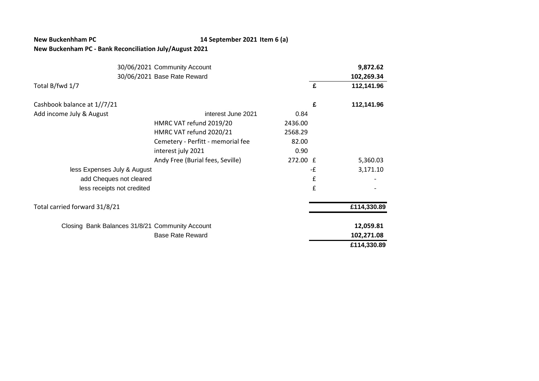### **New Buckenhham PC 14 September 2021 Item 6 (a)**

### **New Buckenham PC - Bank Reconciliation July/August 2021**

|                                                 | 30/06/2021 Community Account      |          |    | 9,872.62    |
|-------------------------------------------------|-----------------------------------|----------|----|-------------|
|                                                 | 30/06/2021 Base Rate Reward       |          |    | 102,269.34  |
| Total B/fwd 1/7                                 |                                   |          | £  | 112,141.96  |
| Cashbook balance at 1//7/21                     |                                   |          | £  | 112,141.96  |
| Add income July & August                        | interest June 2021                | 0.84     |    |             |
|                                                 | HMRC VAT refund 2019/20           | 2436.00  |    |             |
|                                                 | HMRC VAT refund 2020/21           | 2568.29  |    |             |
|                                                 | Cemetery - Perfitt - memorial fee | 82.00    |    |             |
|                                                 | interest july 2021                | 0.90     |    |             |
|                                                 | Andy Free (Burial fees, Seville)  | 272.00 £ |    | 5,360.03    |
| less Expenses July & August                     |                                   |          | -£ | 3,171.10    |
| add Cheques not cleared                         |                                   |          | £  |             |
| less receipts not credited                      |                                   |          | £  |             |
| Total carried forward 31/8/21                   |                                   |          |    | £114,330.89 |
| Closing Bank Balances 31/8/21 Community Account |                                   |          |    | 12,059.81   |
|                                                 | <b>Base Rate Reward</b>           |          |    | 102,271.08  |
|                                                 |                                   |          |    | £114,330.89 |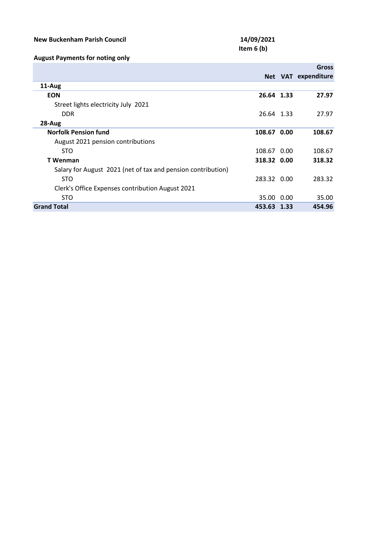## **New Buckenham Parish Council 14/09/2021**

# **Item 6 (b)**

## **August Payments for noting only**

|                                                              |             | Gross               |
|--------------------------------------------------------------|-------------|---------------------|
|                                                              |             | Net VAT expenditure |
| 11-Aug                                                       |             |                     |
| <b>EON</b>                                                   | 26.64 1.33  | 27.97               |
| Street lights electricity July 2021                          |             |                     |
| <b>DDR</b>                                                   | 26.64 1.33  | 27.97               |
| $28-Au$ g                                                    |             |                     |
| <b>Norfolk Pension fund</b>                                  | 108.67 0.00 | 108.67              |
| August 2021 pension contributions                            |             |                     |
| <b>STO</b>                                                   | 108.67 0.00 | 108.67              |
| <b>T</b> Wenman                                              | 318.32 0.00 | 318.32              |
| Salary for August 2021 (net of tax and pension contribution) |             |                     |
| <b>STO</b>                                                   | 283.32 0.00 | 283.32              |
| Clerk's Office Expenses contribution August 2021             |             |                     |
| <b>STO</b>                                                   | 35.00 0.00  | 35.00               |
| <b>Grand Total</b>                                           | 453.63 1.33 | 454.96              |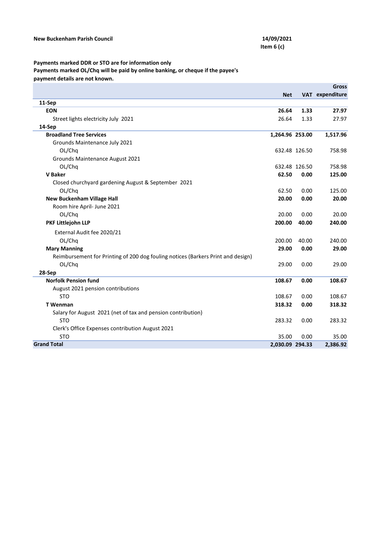## **Payments marked DDR or STO are for information only**

```
Payments marked OL/Chq will be paid by online banking, or cheque if the payee's
```
**payment details are not known.**

|                                                                                  |                 |               | <b>Gross</b>    |
|----------------------------------------------------------------------------------|-----------------|---------------|-----------------|
|                                                                                  | <b>Net</b>      |               | VAT expenditure |
| 11-Sep                                                                           |                 |               |                 |
| <b>EON</b>                                                                       | 26.64           | 1.33          | 27.97           |
| Street lights electricity July 2021                                              | 26.64           | 1.33          | 27.97           |
| 14-Sep                                                                           |                 |               |                 |
| <b>Broadland Tree Services</b>                                                   | 1,264.96 253.00 |               | 1,517.96        |
| Grounds Maintenance July 2021                                                    |                 |               |                 |
| OL/Chq                                                                           |                 | 632.48 126.50 | 758.98          |
| Grounds Maintenance August 2021                                                  |                 |               |                 |
| OL/Chq                                                                           |                 | 632.48 126.50 | 758.98          |
| <b>V</b> Baker                                                                   | 62.50           | 0.00          | 125.00          |
| Closed churchyard gardening August & September 2021                              |                 |               |                 |
| OL/Chq                                                                           | 62.50           | 0.00          | 125.00          |
| <b>New Buckenham Village Hall</b>                                                | 20.00           | 0.00          | 20.00           |
| Room hire April- June 2021                                                       |                 |               |                 |
| OL/Chq                                                                           | 20.00           | 0.00          | 20.00           |
| PKF Littlejohn LLP                                                               | 200.00          | 40.00         | 240.00          |
| External Audit fee 2020/21                                                       |                 |               |                 |
| OL/Chq                                                                           | 200.00          | 40.00         | 240.00          |
| <b>Mary Manning</b>                                                              | 29.00           | 0.00          | 29.00           |
| Reimbursement for Printing of 200 dog fouling notices (Barkers Print and design) |                 |               |                 |
| OL/Chq                                                                           | 29.00           | 0.00          | 29.00           |
| 28-Sep                                                                           |                 |               |                 |
| <b>Norfolk Pension fund</b>                                                      | 108.67          | 0.00          | 108.67          |
| August 2021 pension contributions                                                |                 |               |                 |
| <b>STO</b>                                                                       | 108.67          | 0.00          | 108.67          |
| <b>T</b> Wenman                                                                  | 318.32          | 0.00          | 318.32          |
| Salary for August 2021 (net of tax and pension contribution)                     |                 |               |                 |
| <b>STO</b>                                                                       | 283.32          | 0.00          | 283.32          |
| Clerk's Office Expenses contribution August 2021                                 |                 |               |                 |
| <b>STO</b>                                                                       | 35.00           | 0.00          | 35.00           |
| <b>Grand Total</b>                                                               | 2,030.09 294.33 |               | 2,386.92        |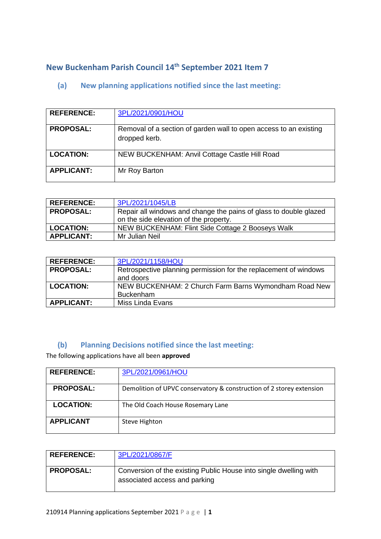# **New Buckenham Parish Council 14th September 2021 Item 7**

# **(a) New planning applications notified since the last meeting:**

| <b>REFERENCE:</b> | 3PL/2021/0901/HOU                                                                  |
|-------------------|------------------------------------------------------------------------------------|
| <b>PROPOSAL:</b>  | Removal of a section of garden wall to open access to an existing<br>dropped kerb. |
| <b>LOCATION:</b>  | NEW BUCKENHAM: Anvil Cottage Castle Hill Road                                      |
| <b>APPLICANT:</b> | Mr Roy Barton                                                                      |

| <b>REFERENCE:</b> | 3PL/2021/1045/LB                                                  |
|-------------------|-------------------------------------------------------------------|
| <b>PROPOSAL:</b>  | Repair all windows and change the pains of glass to double glazed |
|                   | on the side elevation of the property.                            |
| <b>LOCATION:</b>  | NEW BUCKENHAM: Flint Side Cottage 2 Booseys Walk                  |
| <b>APPLICANT:</b> | Mr Julian Neil                                                    |

| <b>REFERENCE:</b> | 3PL/2021/1158/HOU                                                |
|-------------------|------------------------------------------------------------------|
| <b>PROPOSAL:</b>  | Retrospective planning permission for the replacement of windows |
|                   | and doors                                                        |
| <b>LOCATION:</b>  | NEW BUCKENHAM: 2 Church Farm Barns Wymondham Road New            |
|                   | <b>Buckenham</b>                                                 |
| <b>APPLICANT:</b> | Miss Linda Evans                                                 |

## **(b) Planning Decisions notified since the last meeting:**

The following applications have all been **approved**

| <b>REFERENCE:</b> | 3PL/2021/0961/HOU                                                    |
|-------------------|----------------------------------------------------------------------|
| <b>PROPOSAL:</b>  | Demolition of UPVC conservatory & construction of 2 storey extension |
| <b>LOCATION:</b>  | The Old Coach House Rosemary Lane                                    |
| <b>APPLICANT</b>  | Steve Highton                                                        |

| <b>REFERENCE:</b> | 3PL/2021/0867/F                                                                                    |
|-------------------|----------------------------------------------------------------------------------------------------|
| <b>PROPOSAL:</b>  | Conversion of the existing Public House into single dwelling with<br>associated access and parking |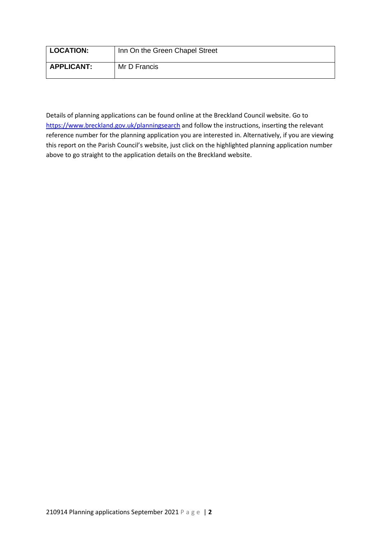| <b>LOCATION:</b>  | Inn On the Green Chapel Street |
|-------------------|--------------------------------|
| <b>APPLICANT:</b> | Mr D Francis                   |

Details of planning applications can be found online at the Breckland Council website. Go to <https://www.breckland.gov.uk/planningsearch> and follow the instructions, inserting the relevant reference number for the planning application you are interested in. Alternatively, if you are viewing this report on the Parish Council's website, just click on the highlighted planning application number above to go straight to the application details on the Breckland website.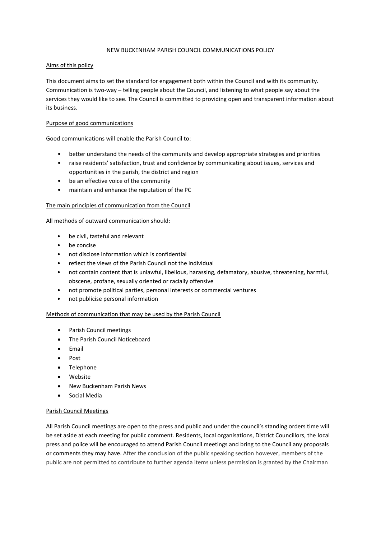#### NEW BUCKENHAM PARISH COUNCIL COMMUNICATIONS POLICY

#### Aims of this policy

This document aims to set the standard for engagement both within the Council and with its community. Communication is two-way – telling people about the Council, and listening to what people say about the services they would like to see. The Council is committed to providing open and transparent information about its business.

#### Purpose of good communications

Good communications will enable the Parish Council to:

- better understand the needs of the community and develop appropriate strategies and priorities
- raise residents' satisfaction, trust and confidence by communicating about issues, services and opportunities in the parish, the district and region
- be an effective voice of the community
- maintain and enhance the reputation of the PC

#### The main principles of communication from the Council

All methods of outward communication should:

- be civil, tasteful and relevant
- be concise
- not disclose information which is confidential
- reflect the views of the Parish Council not the individual
- not contain content that is unlawful, libellous, harassing, defamatory, abusive, threatening, harmful, obscene, profane, sexually oriented or racially offensive
- not promote political parties, personal interests or commercial ventures
- not publicise personal information

#### Methods of communication that may be used by the Parish Council

- Parish Council meetings
- The Parish Council Noticeboard
- Email
- Post
- Telephone
- **Website**
- New Buckenham Parish News
- Social Media

#### Parish Council Meetings

All Parish Council meetings are open to the press and public and under the council's standing orders time will be set aside at each meeting for public comment. Residents, local organisations, District Councillors, the local press and police will be encouraged to attend Parish Council meetings and bring to the Council any proposals or comments they may have. After the conclusion of the public speaking section however, members of the public are not permitted to contribute to further agenda items unless permission is granted by the Chairman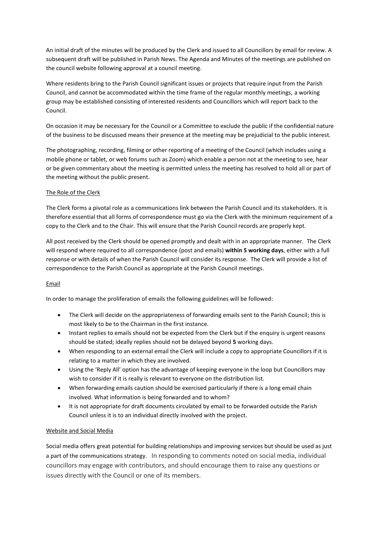An initial draft of the minutes will be produced by the Clerk and issued to all Councillors by email for review. A subsequent draft will be published in Parish News. The Agenda and Minutes of the meetings are published on the council website following approval at a council meeting.

Where residents bring to the Parish Council significant issues or projects that require input from the Parish Council, and cannot be accommodated within the time frame of the regular monthly meetings, a working group may be established consisting of interested residents and Councillors which will report back to the Council.

On occasion it may be necessary for the Council or a Committee to exclude the public if the confidential nature of the business to be discussed means their presence at the meeting may be prejudicial to the public interest.

The photographing, recording, filming or other reporting of a meeting of the Council (which includes using a mobile phone or tablet, or web forums such as Zoom) which enable a person not at the meeting to see, hear or be given commentary about the meeting is permitted unless the meeting has resolved to hold all or part of the meeting without the public present.

#### The Role of the Clerk

The Clerk forms a pivotal role as a communications link between the Parish Council and its stakeholders. It is therefore essential that all forms of correspondence must go via the Clerk with the minimum requirement of a copy to the Clerk and to the Chair. This will ensure that the Parish Council records are properly kept.

All post received by the Clerk should be opened promptly and dealt with in an appropriate manner. The Clerk will respond where required to all correspondence (post and emails) **within 5 working days**, either with a full response or with details of when the Parish Council will consider its response. The Clerk will provide a list of correspondence to the Parish Council as appropriate at the Parish Council meetings.

#### Email

In order to manage the proliferation of emails the following guidelines will be followed:

- The Clerk will decide on the appropriateness of forwarding emails sent to the Parish Council; this is most likely to be to the Chairman in the first instance.
- Instant replies to emails should not be expected from the Clerk but if the enquiry is urgent reasons should be stated; ideally replies should not be delayed beyond **5** working days.
- When responding to an external email the Clerk will include a copy to appropriate Councillors if it is relating to a matter in which they are involved.
- Using the 'Reply All' option has the advantage of keeping everyone in the loop but Councillors may wish to consider if it is really is relevant to everyone on the distribution list.
- When forwarding emails caution should be exercised particularly if there is a long email chain involved. What information is being forwarded and to whom?
- It is not appropriate for draft documents circulated by email to be forwarded outside the Parish Council unless it is to an individual directly involved with the project.

#### Website and Social Media

Social media offers great potential for building relationships and improving services but should be used as just a part of the communications strategy. In responding to comments noted on social media, individual councillors may engage with contributors, and should encourage them to raise any questions or issues directly with the Council or one of its members.